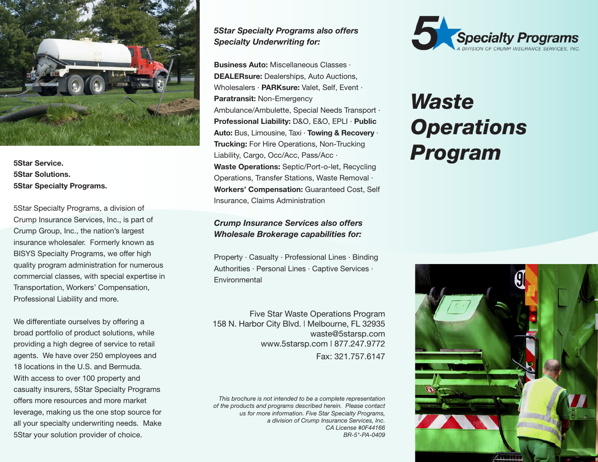

**5Star Solutions. 5Star Specialty Programs.**

5Star Specialty Programs, a division of Crump Insurance Services, Inc., is part of Crump Group, Inc., the nation's largest insurance wholesaler. Formerly known as BISYS Specialty Programs, we offer high quality program administration for numerous commercial classes, with special expertise in Transportation, Workers' Compensation, Professional Liability and more.

We differentiate ourselves by offering a broad portfolio of product solutions, while providing a high degree of service to retail agents. We have over 250 employees and 18 locations in the U.S. and Bermuda. With access to over 100 property and casualty insurers, 5Star Specialty Programs offers more resources and more market leverage, making us the one stop source for all your specialty underwriting needs. Make 5Star your solution provider of choice.

# *5Star Specialty Programs also offers Specialty Underwriting for:*

Frucking: For Fille Operations, Non-Trucking<br>
Star Service.<br> *Margo, Occ/Acc, Pass/Acc* Pass/Acc Pass/Acc Program **Business Auto:** Miscellaneous Classes · **DEALERsure:** Dealerships, Auto Auctions, Wholesalers · **PARKsure:** Valet, Self, Event · **Paratransit:** Non-Emergency Ambulance/Ambulette, Special Needs Transport · **Professional Liability:** D&O, E&O, EPLI · **Public Auto:** Bus, Limousine, Taxi · **Towing & Recovery** · **Trucking:** For Hire Operations, Non-Trucking Liability, Cargo, Occ/Acc, Pass/Acc · **Waste Operations:** Septic/Port-o-let, Recycling Operations, Transfer Stations, Waste Removal · **Workers' Compensation:** Guaranteed Cost, Self Insurance, Claims Administration

# *Crump Insurance Services also offers Wholesale Brokerage capabilities for:*

Property · Casualty · Professional Lines · Binding Authorities · Personal Lines · Captive Services · Environmental

Five Star Waste Operations Program 158 N. Harbor City Blvd. | Melbourne, FL 32935 waste@5starsp.com www.5starsp.com | 877.247.9772 Fax: 321.757.6147

*This brochure is not intended to be a complete representation of the products and programs described herein. Please contact us for more information. Five Star Specialty Programs, a division of Crump Insurance Services, Inc. CA License #0F44166 BR-5\*-PA-0409* 



# *Waste Operations*